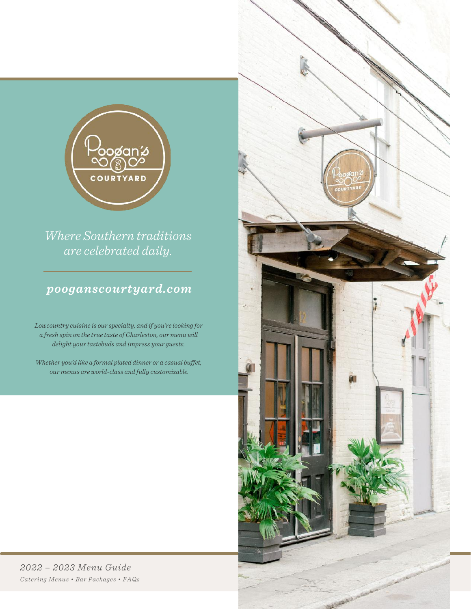

*Where Southern traditions are celebrated daily.*

## *pooganscourtyard.com*

*Lowcountry cuisine is our specialty, and if you're looking for a fresh spin on the true taste of Charleston, our menu will delight your tastebuds and impress your guests.*

*Whether you'd like a formal plated dinner or a casual buffet, our menus are world-class and fully customizable.*

*2022 – 2023 Menu Guide Catering Menus • Bar Packages • FAQs*

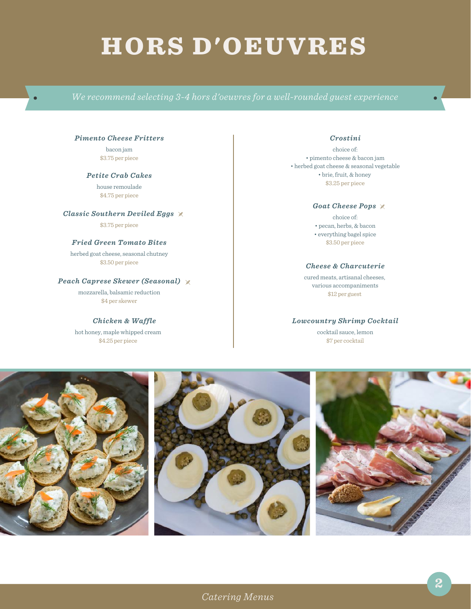# HORS D'OEUVRES

#### *Pimento Cheese Fritters*

bacon jam \$3.75 per piece

*Petite Crab Cakes* house remoulade \$4.75 per piece

*Classic Southern Deviled Eggs*

\$3.75 per piece

#### *Fried Green Tomato Bites*

herbed goat cheese, seasonal chutney \$3.50 per piece

#### *Peach Caprese Skewer (Seasonal)*

mozzarella, balsamic reduction \$4 per skewer

*Chicken & Waffle* hot honey, maple whipped cream \$4.25 per piece

#### *Crostini*

choice of: • pimento cheese & bacon jam • herbed goat cheese & seasonal vegetable • brie, fruit, & honey \$3.25 per piece

#### *Goat Cheese Pops*

choice of: • pecan, herbs, & bacon • everything bagel spice \$3.50 per piece

#### *Cheese & Charcuterie*

cured meats, artisanal cheeses, various accompaniments \$12 per guest

#### *Lowcountry Shrimp Cocktail*

cocktail sauce, lemon \$7 per cocktail

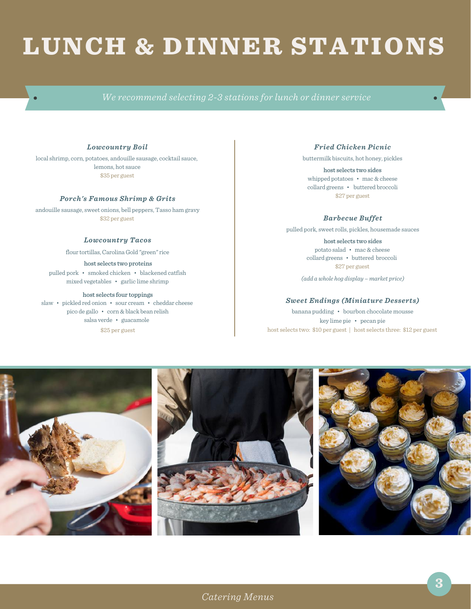# LUNCH & DINNER STATIONS

#### *Lowcountry Boil*

local shrimp, corn, potatoes, andouille sausage, cocktail sauce, lemons, hot sauce \$35 per guest

#### *Porch's Famous Shrimp & Grits*

andouille sausage, sweet onions, bell peppers, Tasso ham gravy \$32 per guest

#### *Lowcountry Tacos*

flour tortillas, Carolina Gold "green" rice

host selects two proteins pulled pork • smoked chicken • blackened catfish mixed vegetables • garlic lime shrimp

#### host selects four toppings

slaw • pickled red onion • sour cream • cheddar cheese pico de gallo • corn & black bean relish salsa verde • guacamole \$25 per guest

#### *Fried Chicken Picnic*

buttermilk biscuits, hot honey, pickles

host selects two sides whipped potatoes • mac & cheese collard greens • buttered broccoli \$27 per guest

*Barbecue Buffet*

pulled pork, sweetrolls, pickles, housemade sauces

host selects two sides potato salad • mac & cheese collard greens • buttered broccoli \$27 per guest

*(add a whole hog display – market price)*

#### *Sweet Endings (Miniature Desserts)*

banana pudding • bourbon chocolate mousse key lime pie • pecan pie host selects two: \$10 per guest | host selects three: \$12 per guest

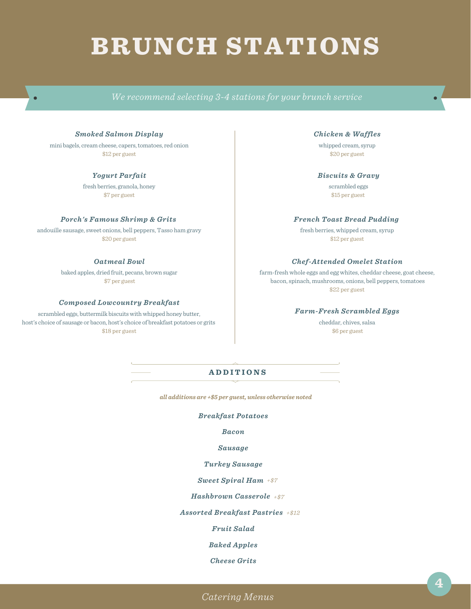# BRUNCH STATIONS

#### *Smoked Salmon Display*

mini bagels, cream cheese, capers, tomatoes, red onion \$12 per guest

#### *Yogurt Parfait*

fresh berries, granola, honey \$7 per guest

#### *Porch's Famous Shrimp & Grits*

andouille sausage, sweet onions, bell peppers, Tasso ham gravy \$20 per guest

#### *Oatmeal Bowl*

baked apples, dried fruit, pecans, brown sugar \$7 per guest

#### *Composed Lowcountry Breakfast*

scrambled eggs, buttermilk biscuits with whipped honey butter, host's choice of sausage or bacon, host's choice of breakfast potatoes or grits \$18 per guest

#### *Chicken & Waffles*

whipped cream, syrup \$20 per guest

#### *Biscuits & Gravy*

scrambled eggs \$15 per guest

#### *French Toast Bread Pudding*

fresh berries, whipped cream, syrup \$12 per guest

#### *Chef-Attended Omelet Station*

farm-fresh whole eggs and egg whites, cheddar cheese, goat cheese, bacon, spinach, mushrooms, onions, bell peppers, tomatoes \$22 per guest

#### *Farm-Fresh Scrambled Eggs*

cheddar, chives, salsa \$6 per guest

#### **A D D I T I O N S**

*all additions are +\$5 per guest, unless otherwise noted*

#### *Breakfast Potatoes*

*Bacon*

#### *Sausage*

#### *Turkey Sausage*

*Sweet Spiral Ham +\$7*

*Hashbrown Casserole +\$7*

*Assorted Breakfast Pastries +\$12*

*Fruit Salad*

*Baked Apples*

*Cheese Grits*

 $\sigma$  defining and inquiries and inquiries and inquiries call 1-999-9999. Happy eating  $\sigma$ *Catering Menus*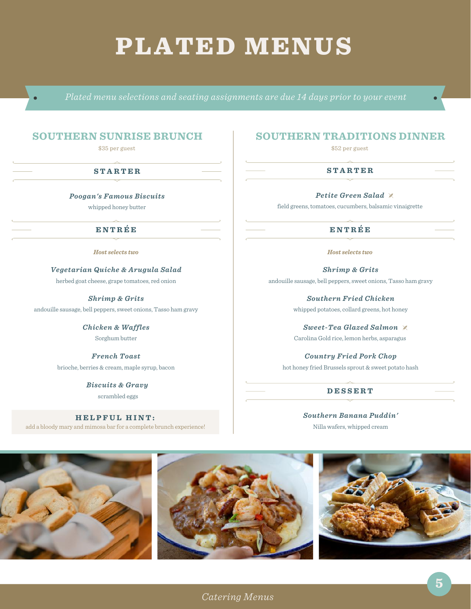## PLATED MENUS

## **SOUTHERN SUNRISE BRUNCH**

\$35 per guest

#### **S T A R T E R**

*Poogan's Famous Biscuits* whipped honey butter

#### **E N T R É E**

*Host selects two*

*Vegetarian Quiche & Arugula Salad*

herbed goat cheese, grape tomatoes, red onion

*Shrimp & Grits* andouille sausage, bell peppers, sweet onions, Tasso ham gravy

> *Chicken & Waffles* Sorghum butter

*French Toast* brioche, berries & cream, maple syrup, bacon

> *Biscuits & Gravy* scrambled eggs

**H E L P F U L H I N T :** add a bloody mary and mimosa bar for a complete brunch experience!

## **SOUTHERN TRADITIONS DINNER**

\$52 per guest

#### **S T A R T E R**

*Petite Green Salad*

field greens, tomatoes, cucumbers, balsamic vinaigrette

### **E N T R É E**

*Host selects two*

*Shrimp & Grits* andouille sausage, bell peppers, sweet onions, Tasso ham gravy

> *Southern Fried Chicken* whipped potatoes, collard greens, hot honey

> *Sweet-Tea Glazed Salmon* Carolina Gold rice, lemon herbs, asparagus

*Country Fried Pork Chop* hot honey fried Brussels sprout & sweet potato hash

#### **D E S S E R T**

*Southern Banana Puddin'* Nilla wafers, whipped cream

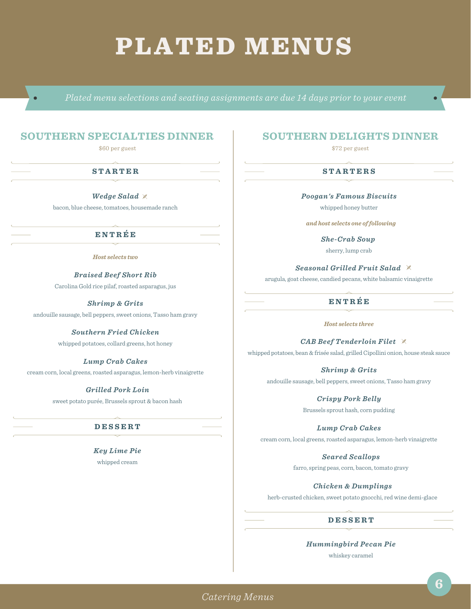## PLATED MENUS

## **SOUTHERN SPECIALTIES DINNER**

\$60 per guest

#### **S T A R T E R**

*Wedge Salad* bacon, blue cheese, tomatoes, housemade ranch

## **E N T R É E**

*Host selects two*

*Braised Beef Short Rib* Carolina Gold rice pilaf, roasted asparagus, jus

*Shrimp & Grits* andouille sausage, bell peppers, sweet onions, Tasso ham gravy

> *Southern Fried Chicken* whipped potatoes, collard greens, hot honey

*Lump Crab Cakes* cream corn, local greens, roasted asparagus, lemon-herb vinaigrette

#### *Grilled Pork Loin*

sweet potato purée, Brussels sprout & bacon hash

### **D E S S E R T**

*Key Lime Pie* whipped cream

## **SOUTHERN DELIGHTS DINNER**

\$72 per guest

#### **S T A R T E R S**

*Poogan's Famous Biscuits*

whipped honey butter

*and host selects one offollowing*

*She-Crab Soup* sherry, lump crab

*Seasonal Grilled Fruit Salad*

arugula, goat cheese, candied pecans, white balsamic vinaigrette

### **E N T R É E**

*Host selects three*

*CAB Beef Tenderloin Filet* whipped potatoes, bean & frisée salad, grilled Cipollini onion, house steak sauce

*Shrimp & Grits* andouille sausage, bell peppers, sweet onions, Tasso ham gravy

> *Crispy Pork Belly* Brussels sprout hash, corn pudding

*Lump Crab Cakes* cream corn, local greens, roasted asparagus, lemon-herb vinaigrette

> *Seared Scallops* farro, spring peas, corn, bacon, tomato gravy

*Chicken & Dumplings* herb-crusted chicken, sweet potato gnocchi, red wine demi-glace

#### **D E S S E R T**

*Hummingbird Pecan Pie* whiskey caramel

 $\sigma$  defining and inquiries and inquiries and inquiries call 1-999-9999. Happy eating  $\sigma$ *Catering Menus*

**6**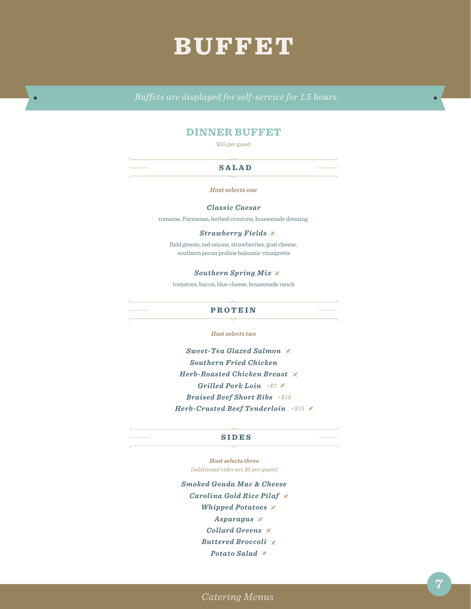## BUFFET

*Buffets are displayed for self-service for 1.5 hours*

## **DINNER BUFFET**

\$55 per guest

#### **S A L A D**

*Host selects one*

*Classic Caesar*

romaine, Parmesan, herbed croutons, housemade dressing

#### *Strawberry Fields*

field greens, red onions, strawberries, goat cheese, southern pecan praline balsamic vinaigrette

#### *Southern Spring Mix*

tomatoes, bacon, blue cheese, housemade ranch

#### **P R O T E I N**

*Host selects two*

*Sweet-Tea Glazed Salmon Southern Fried Chicken Herb-Roasted Chicken Breast Grilled Pork Loin +\$7 Braised Beef Short Ribs +\$10 Herb-Crusted Beef Tenderloin +\$15*

#### **S I D E S**

*Host selects three (additional sides are \$5 per guest)*

*Smoked Gouda Mac & Cheese Carolina Gold Rice Pilaf Whipped Potatoes Asparagus Collard Greens Buttered Broccoli Potato Salad*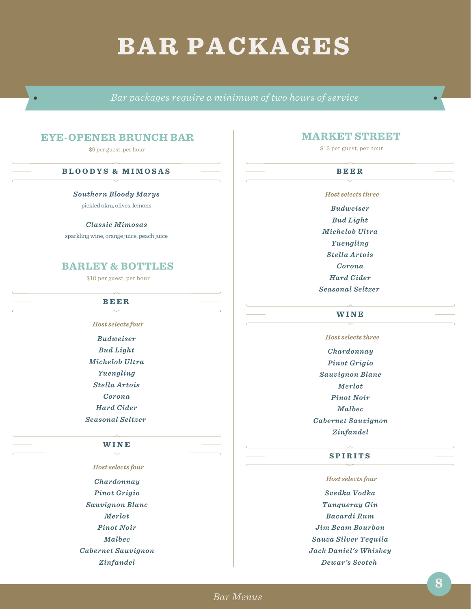## BAR PACKAGES

*Bar packages require a minimum of two hours of service*

## **EYE-OPENER BRUNCH BAR**

\$9 per guest, per hour

#### **B L O O D Y S & M I M O S A S**

#### *Southern Bloody Marys*

pickled okra, olives, lemons

#### *Classic Mimosas*

sparkling wine, orange juice, peach juice

## **BARLEY & BOTTLES**

\$10 per guest, per hour

#### **B E E R**

*Host selects four Budweiser*

*Bud Light Michelob Ultra Yuengling Stella Artois Corona Hard Cider Seasonal Seltzer*

#### **W I N E**

*Host selects four Chardonnay Pinot Grigio Sauvignon Blanc Merlot Pinot Noir Malbec Cabernet Sauvignon Zinfandel*

### **MARKET STREET**

\$12 per guest, per hour

#### **B E E R**

*Host selects three Budweiser Bud Light Michelob Ultra Yuengling Stella Artois Corona Hard Cider Seasonal Seltzer*

#### **W I N E**

*Host selects three Chardonnay Pinot Grigio Sauvignon Blanc Merlot Pinot Noir Malbec Cabernet Sauvignon Zinfandel*

#### **S P I R I T S**

*Host selects four Svedka Vodka Tanqueray Gin Bacardi Rum Jim Beam Bourbon Sauza Silver Tequila Jack Daniel's Whiskey Dewar's Scotch*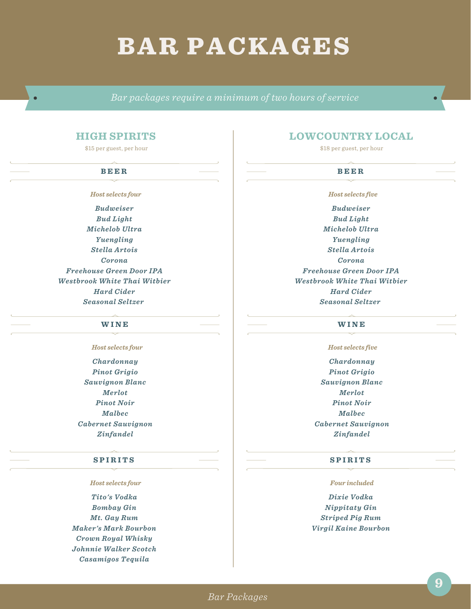## BAR PACKAGES

*Bar packages require a minimum of two hours of service*

### **HIGH SPIRITS**

\$15 per guest, per hour

#### **B E E R**

*Host selects four*

*Budweiser Bud Light Michelob Ultra Yuengling Stella Artois Corona Freehouse Green Door IPA Westbrook White Thai Witbier Hard Cider Seasonal Seltzer*

#### **W I N E**

*Host selects four*

*Chardonnay Pinot Grigio Sauvignon Blanc Merlot Pinot Noir Malbec Cabernet Sauvignon Zinfandel*

#### **S P I R I T S**

*Host selects four*

*Tito's Vodka Bombay Gin Mt. Gay Rum Maker's Mark Bourbon Crown Royal Whisky Johnnie Walker Scotch Casamigos Tequila*

## **LOWCOUNTRY LOCAL**

\$18 per guest, per hour

### **B E E R**

*Host selects five*

*Budweiser Bud Light Michelob Ultra Yuengling Stella Artois Corona Freehouse Green Door IPA Westbrook White Thai Witbier Hard Cider Seasonal Seltzer*

#### **W I N E**

*Host selects five*

*Chardonnay Pinot Grigio Sauvignon Blanc Merlot Pinot Noir Malbec Cabernet Sauvignon Zinfandel*

#### **S P I R I T S**

*Four included*

*Dixie Vodka Nippitaty Gin Striped Pig Rum Virgil Kaine Bourbon*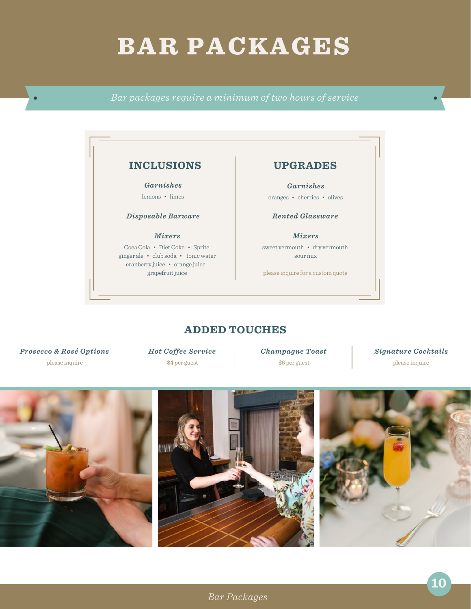# BAR PACKAGES

*Bar packages require a minimum of two hours of service*



## **ADDED TOUCHES**

*Prosecco & Rosé Options* please inquire

*Hot Coffee Service* \$4 per guest

*Champagne Toast*

\$6 per guest

*Signature Cocktails* please inquire